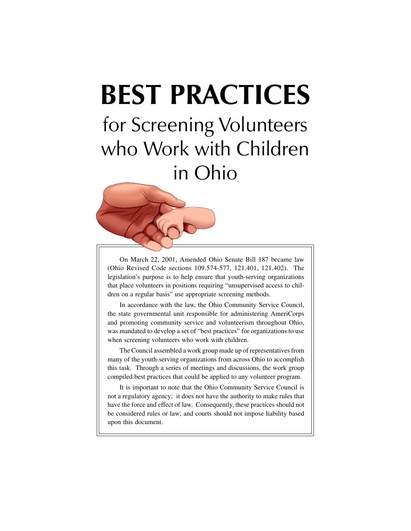# **BEST PRACTICES**

for Screening Volunteers who Work with Children in Ohio



On March 22, 2001, Amended Ohio Senate Bill 187 became law (Ohio Revised Code sections 109.574-577, 121.401, 121.402). The legislation's purpose is to help ensure that youth-serving organizations that place volunteers in positions requiring "unsupervised access to children on a regular basis" use appropriate screening methods.

In accordance with the law, the Ohio Community Service Council, the state governmental unit responsible for administering AmeriCorps and promoting community service and volunteerism throughout Ohio, was mandated to develop a set of "best practices" for organizations to use when screening volunteers who work with children.

The Council assembled a work group made up of representatives from many of the youth-serving organizations from across Ohio to accomplish this task. Through a series of meetings and discussions, the work group compiled best practices that could be applied to any volunteer program.

It is important to note that the Ohio Community Service Council is not a regulatory agency; it does not have the authority to make rules that have the force and effect of law. Consequently, these practices should not be considered rules or law; and courts should not impose liability based upon this document.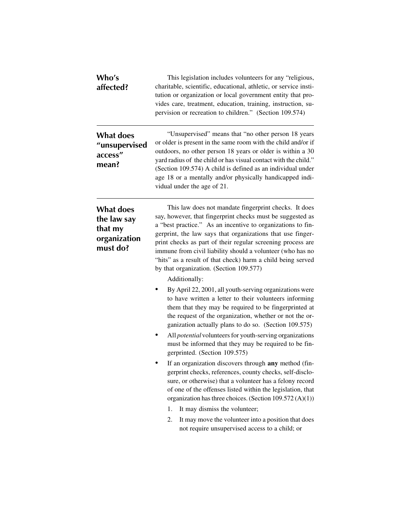| Who's<br>affected?                                                     | This legislation includes volunteers for any "religious,<br>charitable, scientific, educational, athletic, or service insti-<br>tution or organization or local government entity that pro-<br>vides care, treatment, education, training, instruction, su-<br>pervision or recreation to children." (Section 109.574)                                                                                                                                                                                   |
|------------------------------------------------------------------------|----------------------------------------------------------------------------------------------------------------------------------------------------------------------------------------------------------------------------------------------------------------------------------------------------------------------------------------------------------------------------------------------------------------------------------------------------------------------------------------------------------|
| <b>What does</b><br>"unsupervised<br>access"<br>mean?                  | "Unsupervised" means that "no other person 18 years<br>or older is present in the same room with the child and/or if<br>outdoors, no other person 18 years or older is within a 30<br>yard radius of the child or has visual contact with the child."<br>(Section 109.574) A child is defined as an individual under<br>age 18 or a mentally and/or physically handicapped indi-<br>vidual under the age of 21.                                                                                          |
| <b>What does</b><br>the law say<br>that my<br>organization<br>must do? | This law does not mandate fingerprint checks. It does<br>say, however, that fingerprint checks must be suggested as<br>a "best practice." As an incentive to organizations to fin-<br>gerprint, the law says that organizations that use finger-<br>print checks as part of their regular screening process are<br>immune from civil liability should a volunteer (who has no<br>"hits" as a result of that check) harm a child being served<br>by that organization. (Section 109.577)<br>Additionally: |
|                                                                        | By April 22, 2001, all youth-serving organizations were<br>٠<br>to have written a letter to their volunteers informing<br>them that they may be required to be fingerprinted at<br>the request of the organization, whether or not the or-<br>ganization actually plans to do so. (Section 109.575)<br>All <i>potential</i> volunteers for youth-serving organizations                                                                                                                                   |
|                                                                        | must be informed that they may be required to be fin-<br>gerprinted. (Section 109.575)                                                                                                                                                                                                                                                                                                                                                                                                                   |
|                                                                        | If an organization discovers through any method (fin-<br>gerprint checks, references, county checks, self-disclo-<br>sure, or otherwise) that a volunteer has a felony record<br>of one of the offenses listed within the legislation, that<br>organization has three choices. (Section 109.572 (A)(1))                                                                                                                                                                                                  |
|                                                                        | It may dismiss the volunteer;<br>1.<br>2.<br>It may move the volunteer into a position that does<br>not require unsupervised access to a child; or                                                                                                                                                                                                                                                                                                                                                       |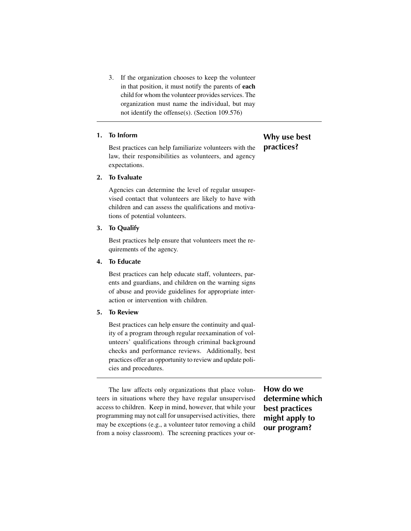3. If the organization chooses to keep the volunteer in that position, it must notify the parents of **each** child for whom the volunteer provides services. The organization must name the individual, but may not identify the offense(s). (Section 109.576)

# **1. To Inform**

Best practices can help familiarize volunteers with the law, their responsibilities as volunteers, and agency expectations.

### **2. To Evaluate**

Agencies can determine the level of regular unsupervised contact that volunteers are likely to have with children and can assess the qualifications and motivations of potential volunteers.

# **3. To Qualify**

Best practices help ensure that volunteers meet the requirements of the agency.

# **4. To Educate**

Best practices can help educate staff, volunteers, parents and guardians, and children on the warning signs of abuse and provide guidelines for appropriate interaction or intervention with children.

#### **5. To Review**

Best practices can help ensure the continuity and quality of a program through regular reexamination of volunteers' qualifications through criminal background checks and performance reviews. Additionally, best practices offer an opportunity to review and update policies and procedures.

The law affects only organizations that place volunteers in situations where they have regular unsupervised access to children. Keep in mind, however, that while your programming may not call for unsupervised activities, there may be exceptions (e.g., a volunteer tutor removing a child from a noisy classroom). The screening practices your or**How do we determine which best practices might apply to our program?**

# **Why use best practices?**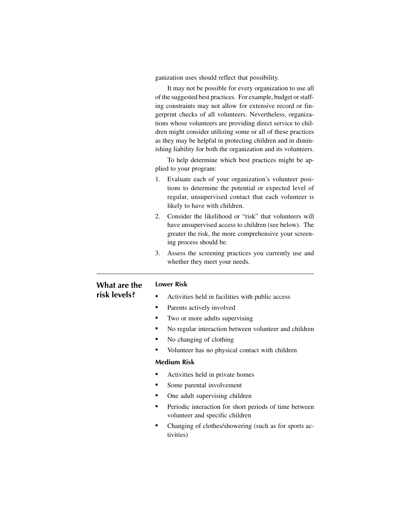ganization uses should reflect that possibility.

It may not be possible for every organization to use all of the suggested best practices. For example, budget or staffing constraints may not allow for extensive record or fingerprint checks of all volunteers. Nevertheless, organizations whose volunteers are providing direct service to children might consider utilizing some or all of these practices as they may be helpful in protecting children and in diminishing liability for both the organization and its volunteers.

To help determine which best practices might be applied to your program:

- 1. Evaluate each of your organization's volunteer positions to determine the potential or expected level of regular, unsupervised contact that each volunteer is likely to have with children.
- 2. Consider the likelihood or "risk" that volunteers will have unsupervised access to children (see below). The greater the risk, the more comprehensive your screening process should be.
- 3. Assess the screening practices you currently use and whether they meet your needs.

# **What are the risk levels?**

- Activities held in facilities with public access
- Parents actively involved
- Two or more adults supervising
- No regular interaction between volunteer and children
- No changing of clothing
- Volunteer has no physical contact with children

## **Medium Risk**

**Lower Risk**

- Activities held in private homes
- Some parental involvement
- One adult supervising children
- Periodic interaction for short periods of time between volunteer and specific children
- Changing of clothes/showering (such as for sports activities)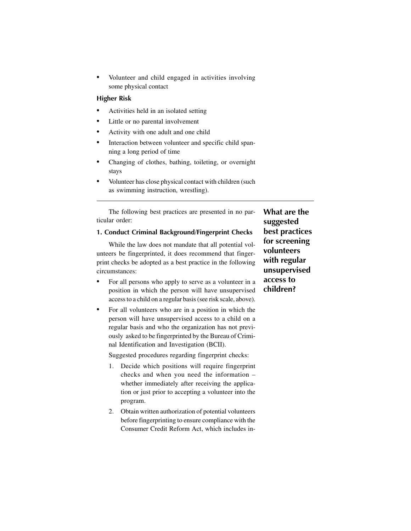• Volunteer and child engaged in activities involving some physical contact

#### **Higher Risk**

- Activities held in an isolated setting
- Little or no parental involvement
- Activity with one adult and one child
- Interaction between volunteer and specific child spanning a long period of time
- Changing of clothes, bathing, toileting, or overnight stays
- Volunteer has close physical contact with children (such as swimming instruction, wrestling).

The following best practices are presented in no particular order:

#### **1. Conduct Criminal Background/Fingerprint Checks**

While the law does not mandate that all potential volunteers be fingerprinted, it does recommend that fingerprint checks be adopted as a best practice in the following circumstances:

- For all persons who apply to serve as a volunteer in a position in which the person will have unsupervised access to a child on a regular basis (see risk scale, above).
- For all volunteers who are in a position in which the person will have unsupervised access to a child on a regular basis and who the organization has not previously asked to be fingerprinted by the Bureau of Criminal Identification and Investigation (BCII).

Suggested procedures regarding fingerprint checks:

- 1. Decide which positions will require fingerprint checks and when you need the information – whether immediately after receiving the application or just prior to accepting a volunteer into the program.
- 2. Obtain written authorization of potential volunteers before fingerprinting to ensure compliance with the Consumer Credit Reform Act, which includes in-

**What are the suggested best practices for screening volunteers with regular unsupervised access to children?**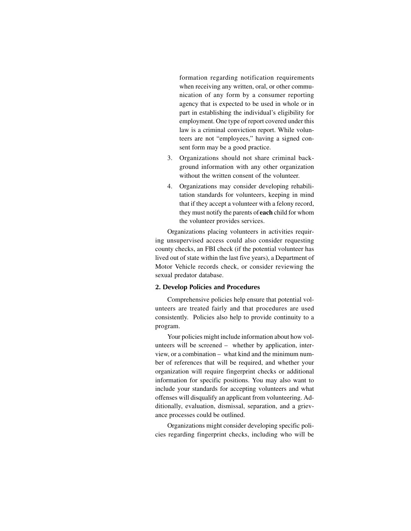formation regarding notification requirements when receiving any written, oral, or other communication of any form by a consumer reporting agency that is expected to be used in whole or in part in establishing the individual's eligibility for employment. One type of report covered under this law is a criminal conviction report. While volunteers are not "employees," having a signed consent form may be a good practice.

- 3. Organizations should not share criminal background information with any other organization without the written consent of the volunteer.
- 4. Organizations may consider developing rehabilitation standards for volunteers, keeping in mind that if they accept a volunteer with a felony record, they must notify the parents of **each** child for whom the volunteer provides services.

Organizations placing volunteers in activities requiring unsupervised access could also consider requesting county checks, an FBI check (if the potential volunteer has lived out of state within the last five years), a Department of Motor Vehicle records check, or consider reviewing the sexual predator database.

#### **2. Develop Policies and Procedures**

Comprehensive policies help ensure that potential volunteers are treated fairly and that procedures are used consistently. Policies also help to provide continuity to a program.

Your policies might include information about how volunteers will be screened – whether by application, interview, or a combination – what kind and the minimum number of references that will be required, and whether your organization will require fingerprint checks or additional information for specific positions. You may also want to include your standards for accepting volunteers and what offenses will disqualify an applicant from volunteering. Additionally, evaluation, dismissal, separation, and a grievance processes could be outlined.

Organizations might consider developing specific policies regarding fingerprint checks, including who will be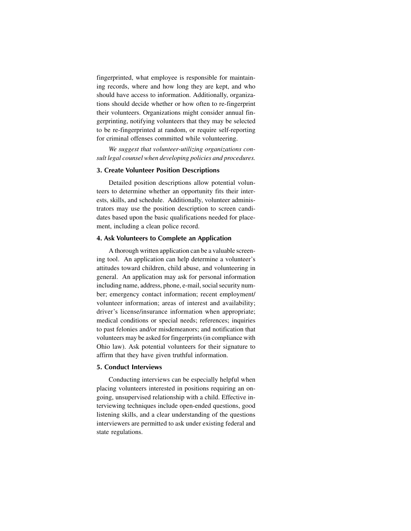fingerprinted, what employee is responsible for maintaining records, where and how long they are kept, and who should have access to information. Additionally, organizations should decide whether or how often to re-fingerprint their volunteers. Organizations might consider annual fingerprinting, notifying volunteers that they may be selected to be re-fingerprinted at random, or require self-reporting for criminal offenses committed while volunteering.

*We suggest that volunteer-utilizing organizations consult legal counsel when developing policies and procedures.*

#### **3. Create Volunteer Position Descriptions**

Detailed position descriptions allow potential volunteers to determine whether an opportunity fits their interests, skills, and schedule. Additionally, volunteer administrators may use the position description to screen candidates based upon the basic qualifications needed for placement, including a clean police record.

#### **4. Ask Volunteers to Complete an Application**

A thorough written application can be a valuable screening tool. An application can help determine a volunteer's attitudes toward children, child abuse, and volunteering in general. An application may ask for personal information including name, address, phone, e-mail, social security number; emergency contact information; recent employment/ volunteer information; areas of interest and availability; driver's license/insurance information when appropriate; medical conditions or special needs; references; inquiries to past felonies and/or misdemeanors; and notification that volunteers may be asked for fingerprints (in compliance with Ohio law). Ask potential volunteers for their signature to affirm that they have given truthful information.

#### **5. Conduct Interviews**

Conducting interviews can be especially helpful when placing volunteers interested in positions requiring an ongoing, unsupervised relationship with a child. Effective interviewing techniques include open-ended questions, good listening skills, and a clear understanding of the questions interviewers are permitted to ask under existing federal and state regulations.